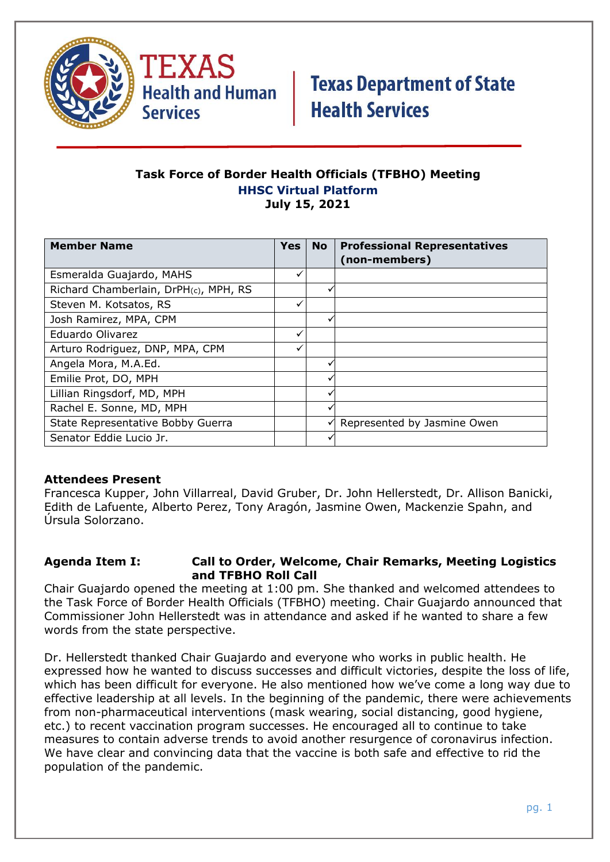

TEXAS **Health and Human Services** 

# **Texas Department of State Health Services**

#### **Task Force of Border Health Officials (TFBHO) Meeting HHSC Virtual Platform July 15, 2021**

| <b>Member Name</b>                    | <b>Yes</b> | <b>No</b> | <b>Professional Representatives</b><br>(non-members) |
|---------------------------------------|------------|-----------|------------------------------------------------------|
| Esmeralda Guajardo, MAHS              |            |           |                                                      |
| Richard Chamberlain, DrPH(c), MPH, RS |            |           |                                                      |
| Steven M. Kotsatos, RS                |            |           |                                                      |
| Josh Ramirez, MPA, CPM                |            |           |                                                      |
| Eduardo Olivarez                      |            |           |                                                      |
| Arturo Rodriguez, DNP, MPA, CPM       |            |           |                                                      |
| Angela Mora, M.A.Ed.                  |            |           |                                                      |
| Emilie Prot, DO, MPH                  |            | √         |                                                      |
| Lillian Ringsdorf, MD, MPH            |            | v         |                                                      |
| Rachel E. Sonne, MD, MPH              |            |           |                                                      |
| State Representative Bobby Guerra     |            | ✓         | Represented by Jasmine Owen                          |
| Senator Eddie Lucio Jr.               |            |           |                                                      |

### **Attendees Present**

Francesca Kupper, John Villarreal, David Gruber, Dr. John Hellerstedt, Dr. Allison Banicki, Edith de Lafuente, Alberto Perez, Tony Aragón, Jasmine Owen, Mackenzie Spahn, and Úrsula Solorzano.

#### **Agenda Item I: Call to Order, Welcome, Chair Remarks, Meeting Logistics and TFBHO Roll Call**

Chair Guajardo opened the meeting at 1:00 pm. She thanked and welcomed attendees to the Task Force of Border Health Officials (TFBHO) meeting. Chair Guajardo announced that Commissioner John Hellerstedt was in attendance and asked if he wanted to share a few words from the state perspective.

Dr. Hellerstedt thanked Chair Guajardo and everyone who works in public health. He expressed how he wanted to discuss successes and difficult victories, despite the loss of life, which has been difficult for everyone. He also mentioned how we've come a long way due to effective leadership at all levels. In the beginning of the pandemic, there were achievements from non-pharmaceutical interventions (mask wearing, social distancing, good hygiene, etc.) to recent vaccination program successes. He encouraged all to continue to take measures to contain adverse trends to avoid another resurgence of coronavirus infection. We have clear and convincing data that the vaccine is both safe and effective to rid the population of the pandemic.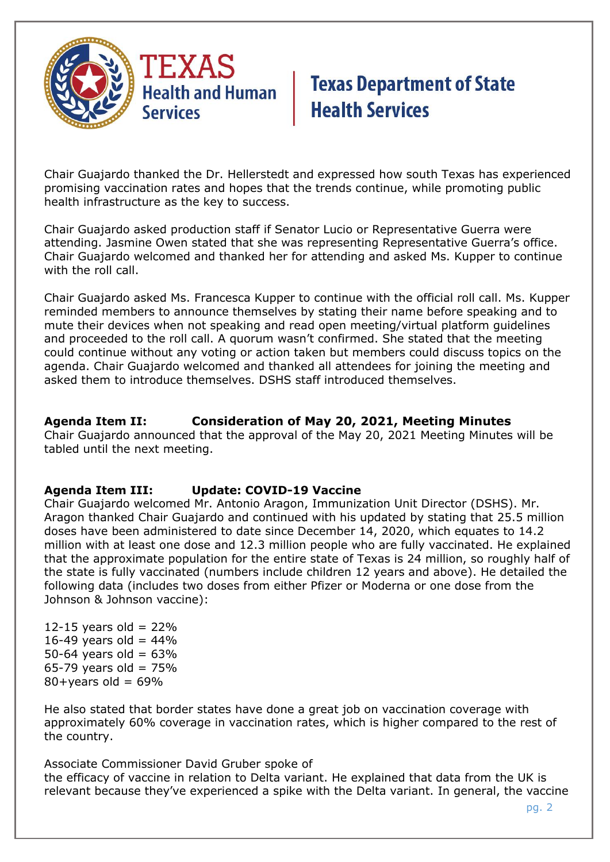

# **Texas Department of State Health Services**

Chair Guajardo thanked the Dr. Hellerstedt and expressed how south Texas has experienced promising vaccination rates and hopes that the trends continue, while promoting public health infrastructure as the key to success.

Chair Guajardo asked production staff if Senator Lucio or Representative Guerra were attending. Jasmine Owen stated that she was representing Representative Guerra's office. Chair Guajardo welcomed and thanked her for attending and asked Ms. Kupper to continue with the roll call.

Chair Guajardo asked Ms. Francesca Kupper to continue with the official roll call. Ms. Kupper reminded members to announce themselves by stating their name before speaking and to mute their devices when not speaking and read open meeting/virtual platform guidelines and proceeded to the roll call. A quorum wasn't confirmed. She stated that the meeting could continue without any voting or action taken but members could discuss topics on the agenda. Chair Guajardo welcomed and thanked all attendees for joining the meeting and asked them to introduce themselves. DSHS staff introduced themselves.

### **Agenda Item II: Consideration of May 20, 2021, Meeting Minutes**

Chair Guajardo announced that the approval of the May 20, 2021 Meeting Minutes will be tabled until the next meeting.

### **Agenda Item III: Update: COVID-19 Vaccine**

Chair Guajardo welcomed Mr. Antonio Aragon, Immunization Unit Director (DSHS). Mr. Aragon thanked Chair Guajardo and continued with his updated by stating that 25.5 million doses have been administered to date since December 14, 2020, which equates to 14.2 million with at least one dose and 12.3 million people who are fully vaccinated. He explained that the approximate population for the entire state of Texas is 24 million, so roughly half of the state is fully vaccinated (numbers include children 12 years and above). He detailed the following data (includes two doses from either Pfizer or Moderna or one dose from the Johnson & Johnson vaccine):

12-15 years old =  $22%$ 16-49 years old =  $44%$ 50-64 years old =  $63%$ 65-79 years old =  $75%$  $80+years$  old = 69%

He also stated that border states have done a great job on vaccination coverage with approximately 60% coverage in vaccination rates, which is higher compared to the rest of the country.

Associate Commissioner David Gruber spoke of the efficacy of vaccine in relation to Delta variant. He explained that data from the UK is relevant because they've experienced a spike with the Delta variant. In general, the vaccine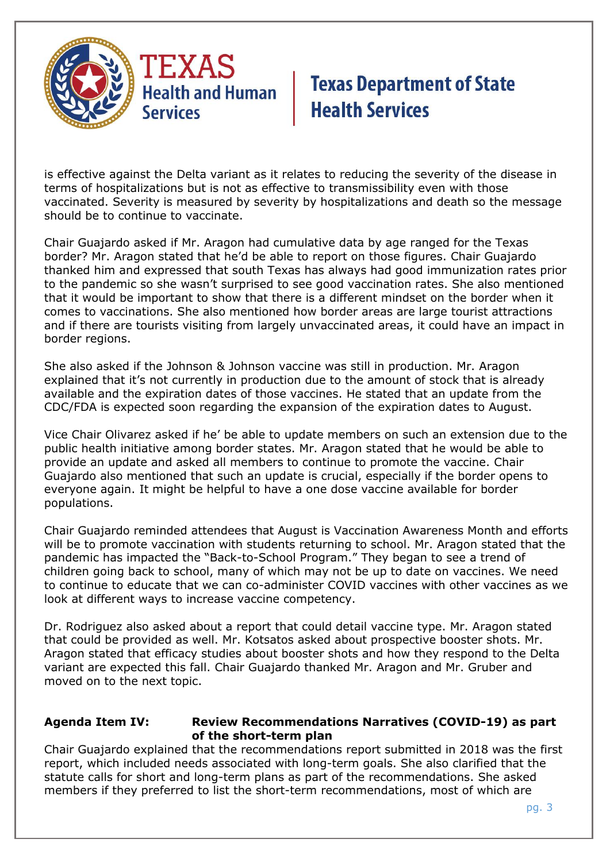

# **Texas Department of State Health Services**

is effective against the Delta variant as it relates to reducing the severity of the disease in terms of hospitalizations but is not as effective to transmissibility even with those vaccinated. Severity is measured by severity by hospitalizations and death so the message should be to continue to vaccinate.

Chair Guajardo asked if Mr. Aragon had cumulative data by age ranged for the Texas border? Mr. Aragon stated that he'd be able to report on those figures. Chair Guajardo thanked him and expressed that south Texas has always had good immunization rates prior to the pandemic so she wasn't surprised to see good vaccination rates. She also mentioned that it would be important to show that there is a different mindset on the border when it comes to vaccinations. She also mentioned how border areas are large tourist attractions and if there are tourists visiting from largely unvaccinated areas, it could have an impact in border regions.

She also asked if the Johnson & Johnson vaccine was still in production. Mr. Aragon explained that it's not currently in production due to the amount of stock that is already available and the expiration dates of those vaccines. He stated that an update from the CDC/FDA is expected soon regarding the expansion of the expiration dates to August.

Vice Chair Olivarez asked if he' be able to update members on such an extension due to the public health initiative among border states. Mr. Aragon stated that he would be able to provide an update and asked all members to continue to promote the vaccine. Chair Guajardo also mentioned that such an update is crucial, especially if the border opens to everyone again. It might be helpful to have a one dose vaccine available for border populations.

Chair Guajardo reminded attendees that August is Vaccination Awareness Month and efforts will be to promote vaccination with students returning to school. Mr. Aragon stated that the pandemic has impacted the "Back-to-School Program." They began to see a trend of children going back to school, many of which may not be up to date on vaccines. We need to continue to educate that we can co-administer COVID vaccines with other vaccines as we look at different ways to increase vaccine competency.

Dr. Rodriguez also asked about a report that could detail vaccine type. Mr. Aragon stated that could be provided as well. Mr. Kotsatos asked about prospective booster shots. Mr. Aragon stated that efficacy studies about booster shots and how they respond to the Delta variant are expected this fall. Chair Guajardo thanked Mr. Aragon and Mr. Gruber and moved on to the next topic.

#### **Agenda Item IV: Review Recommendations Narratives (COVID-19) as part of the short-term plan**

Chair Guajardo explained that the recommendations report submitted in 2018 was the first report, which included needs associated with long-term goals. She also clarified that the statute calls for short and long-term plans as part of the recommendations. She asked members if they preferred to list the short-term recommendations, most of which are